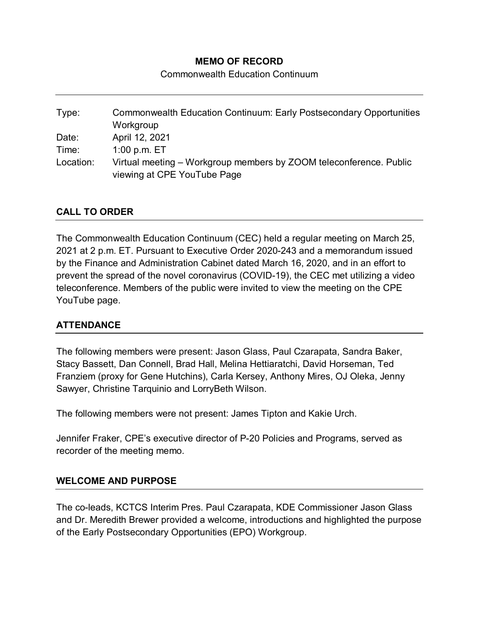## **MEMO OF RECORD**

Commonwealth Education Continuum

Type: Commonwealth Education Continuum: Early Postsecondary Opportunities **Workgroup** Date: April 12, 2021 Time: 1:00 p.m. ET Location: Virtual meeting – Workgroup members by ZOOM teleconference. Public viewing at CPE YouTube Page

## **CALL TO ORDER**

The Commonwealth Education Continuum (CEC) held a regular meeting on March 25, 2021 at 2 p.m. ET. Pursuant to Executive Order 2020-243 and a memorandum issued by the Finance and Administration Cabinet dated March 16, 2020, and in an effort to prevent the spread of the novel coronavirus (COVID-19), the CEC met utilizing a video teleconference. Members of the public were invited to view the meeting on the CPE YouTube page.

#### **ATTENDANCE**

The following members were present: Jason Glass, Paul Czarapata, Sandra Baker, Stacy Bassett, Dan Connell, Brad Hall, Melina Hettiaratchi, David Horseman, Ted Franziem (proxy for Gene Hutchins), Carla Kersey, Anthony Mires, OJ Oleka, Jenny Sawyer, Christine Tarquinio and LorryBeth Wilson.

The following members were not present: James Tipton and Kakie Urch.

Jennifer Fraker, CPE's executive director of P-20 Policies and Programs, served as recorder of the meeting memo.

#### **WELCOME AND PURPOSE**

The co-leads, KCTCS Interim Pres. Paul Czarapata, KDE Commissioner Jason Glass and Dr. Meredith Brewer provided a welcome, introductions and highlighted the purpose of the Early Postsecondary Opportunities (EPO) Workgroup.